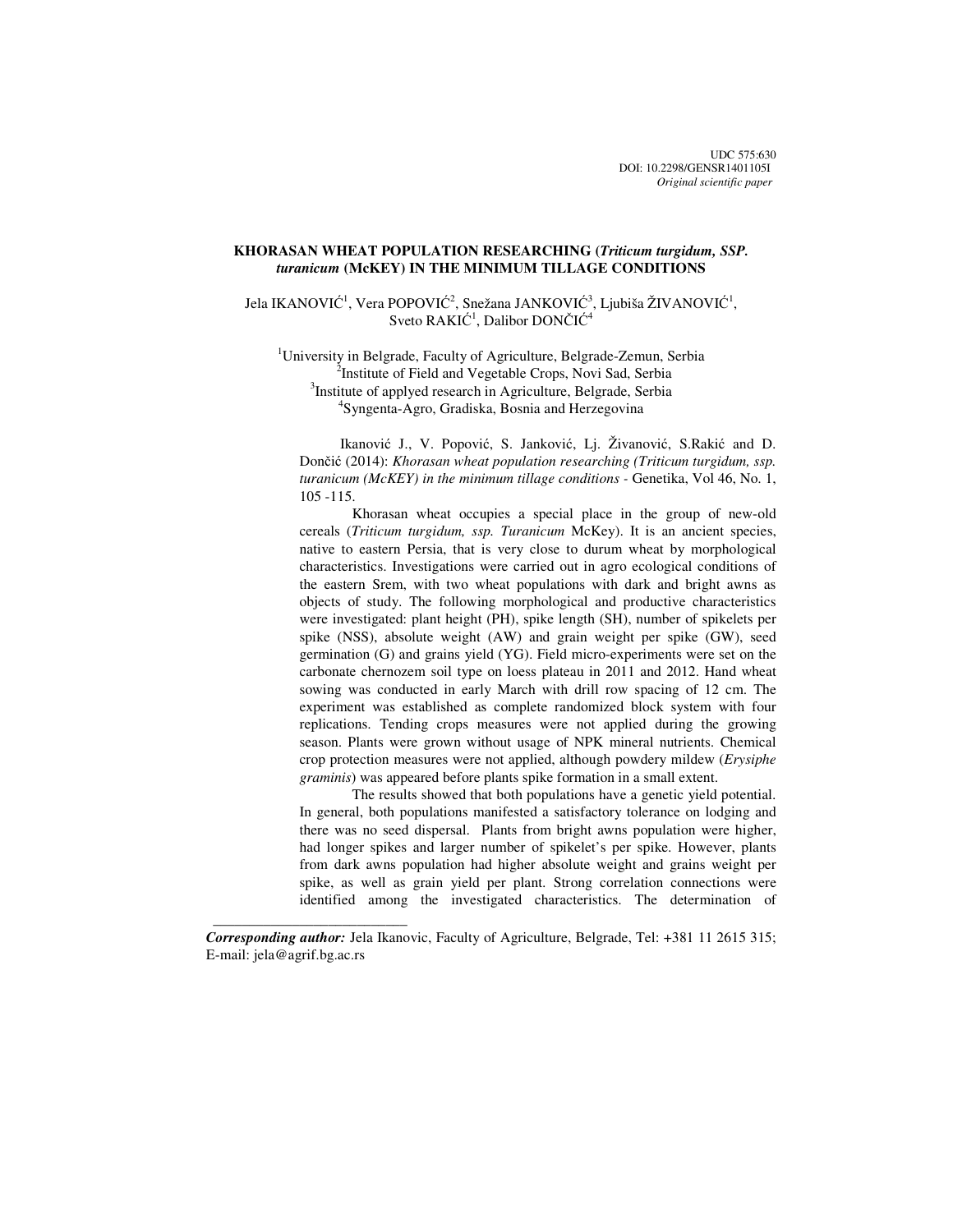# **KHORASAN WHEAT POPULATION RESEARCHING (***Triticum turgidum, SSP. turanicum* **(McKEY) IN THE MINIMUM TILLAGE CONDITIONS**

Jela IKANOVIĆ<sup>1</sup>, Vera POPOVIĆ<sup>2</sup>, Snežana JANKOVIĆ<sup>3</sup>, Ljubiša ŽIVANOVIĆ<sup>1</sup>, Sveto RAKIĆ<sup>1</sup>, Dalibor DONČIĆ<sup>4</sup>

<sup>1</sup>University in Belgrade, Faculty of Agriculture, Belgrade-Zemun, Serbia <sup>2</sup>Institute of Field and Vegetable Crops, Novi Sad, Serbia <sup>3</sup>Institute of applyed research in Agriculture, Belgrade, Serbia 4 Syngenta-Agro, Gradiska, Bosnia and Herzegovina

Ikanović J., V. Popović, S. Janković, Lj. Živanović, S.Rakić and D. Dončić (2014): *Khorasan wheat population researching (Triticum turgidum, ssp.*  turanicum (McKEY) in the minimum tillage conditions - Genetika, Vol 46, No. 1, 105 -115.

Khorasan wheat occupies a special place in the group of new-old cereals (*Triticum turgidum, ssp. Turanicum* McKey). It is an ancient species, native to eastern Persia, that is very close to durum wheat by morphological characteristics. Investigations were carried out in agro ecological conditions of the eastern Srem, with two wheat populations with dark and bright awns as objects of study. The following morphological and productive characteristics were investigated: plant height (PH), spike length (SH), number of spikelets per spike (NSS), absolute weight (AW) and grain weight per spike (GW), seed germination (G) and grains yield (YG). Field micro-experiments were set on the carbonate chernozem soil type on loess plateau in 2011 and 2012. Hand wheat sowing was conducted in early March with drill row spacing of 12 cm. The experiment was established as complete randomized block system with four replications. Tending crops measures were not applied during the growing season. Plants were grown without usage of NPK mineral nutrients. Chemical crop protection measures were not applied, although powdery mildew (*Erysiphe graminis*) was appeared before plants spike formation in a small extent.

The results showed that both populations have a genetic yield potential. In general, both populations manifested a satisfactory tolerance on lodging and there was no seed dispersal. Plants from bright awns population were higher, had longer spikes and larger number of spikelet's per spike. However, plants from dark awns population had higher absolute weight and grains weight per spike, as well as grain yield per plant. Strong correlation connections were identified among the investigated characteristics. The determination of

*Corresponding author:* Jela Ikanovic, Faculty of Agriculture, Belgrade, Tel: +381 11 2615 315; E-mail: jela@agrif.bg.ac.rs

 $\frac{1}{\sqrt{2\pi}}\left[\frac{1}{2(1-2\pi)^2}\left(1-\frac{1}{2(1-2\pi)^2}\left(1-\frac{1}{2(1-2\pi)^2}\right)\right)\right],$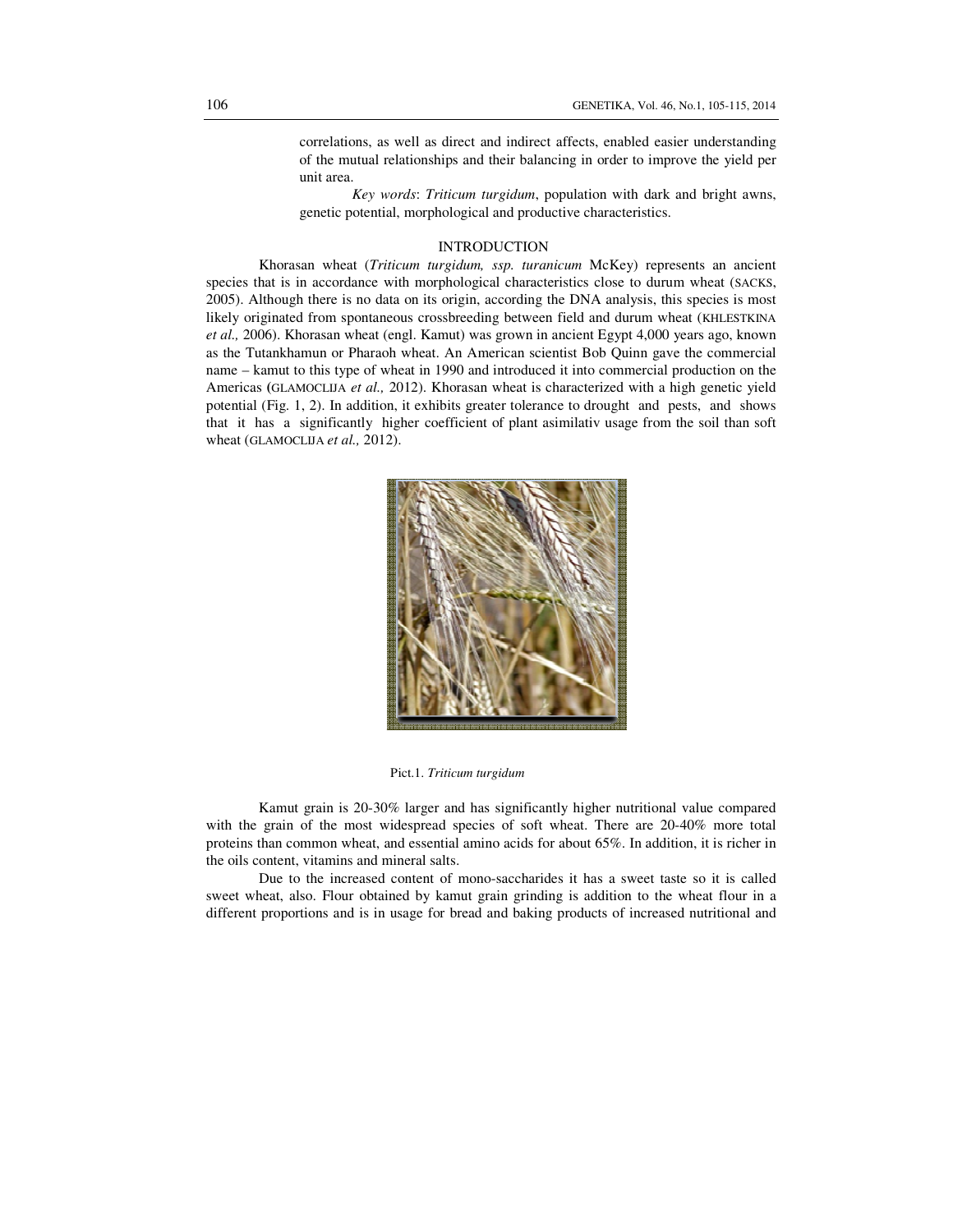correlations, as well as direct and indirect affects, enabled easier understanding of the mutual relationships and their balancing in order to improve the yield per unit area.

*Key words*: *Triticum turgidum*, population with dark and bright awns, genetic potential, morphological and productive characteristics.

#### INTRODUCTION

Khorasan wheat (*Triticum turgidum, ssp. turanicum* McKey) represents an ancient species that is in accordance with morphological characteristics close to durum wheat (SACKS, 2005). Although there is no data on its origin, according the DNA analysis, this species is most likely originated from spontaneous crossbreeding between field and durum wheat (KHLESTKINA *et al.,* 2006). Khorasan wheat (engl. Kamut) was grown in ancient Egypt 4,000 years ago, known as the Tutankhamun or Pharaoh wheat. An American scientist Bob Quinn gave the commercial name – kamut to this type of wheat in 1990 and introduced it into commercial production on the Americas **(**GLAMOCLIJA *et al.,* 2012). Khorasan wheat is characterized with a high genetic yield potential (Fig. 1, 2). In addition, it exhibits greater tolerance to drought and pests, and shows that it has a significantly higher coefficient of plant asimilativ usage from the soil than soft wheat (GLAMOCLIJA *et al.,* 2012).



Pict.1. *Triticum turgidum* 

Kamut grain is 20-30% larger and has significantly higher nutritional value compared with the grain of the most widespread species of soft wheat. There are 20-40% more total proteins than common wheat, and essential amino acids for about 65%. In addition, it is richer in the oils content, vitamins and mineral salts.

Due to the increased content of mono-saccharides it has a sweet taste so it is called sweet wheat, also. Flour obtained by kamut grain grinding is addition to the wheat flour in a different proportions and is in usage for bread and baking products of increased nutritional and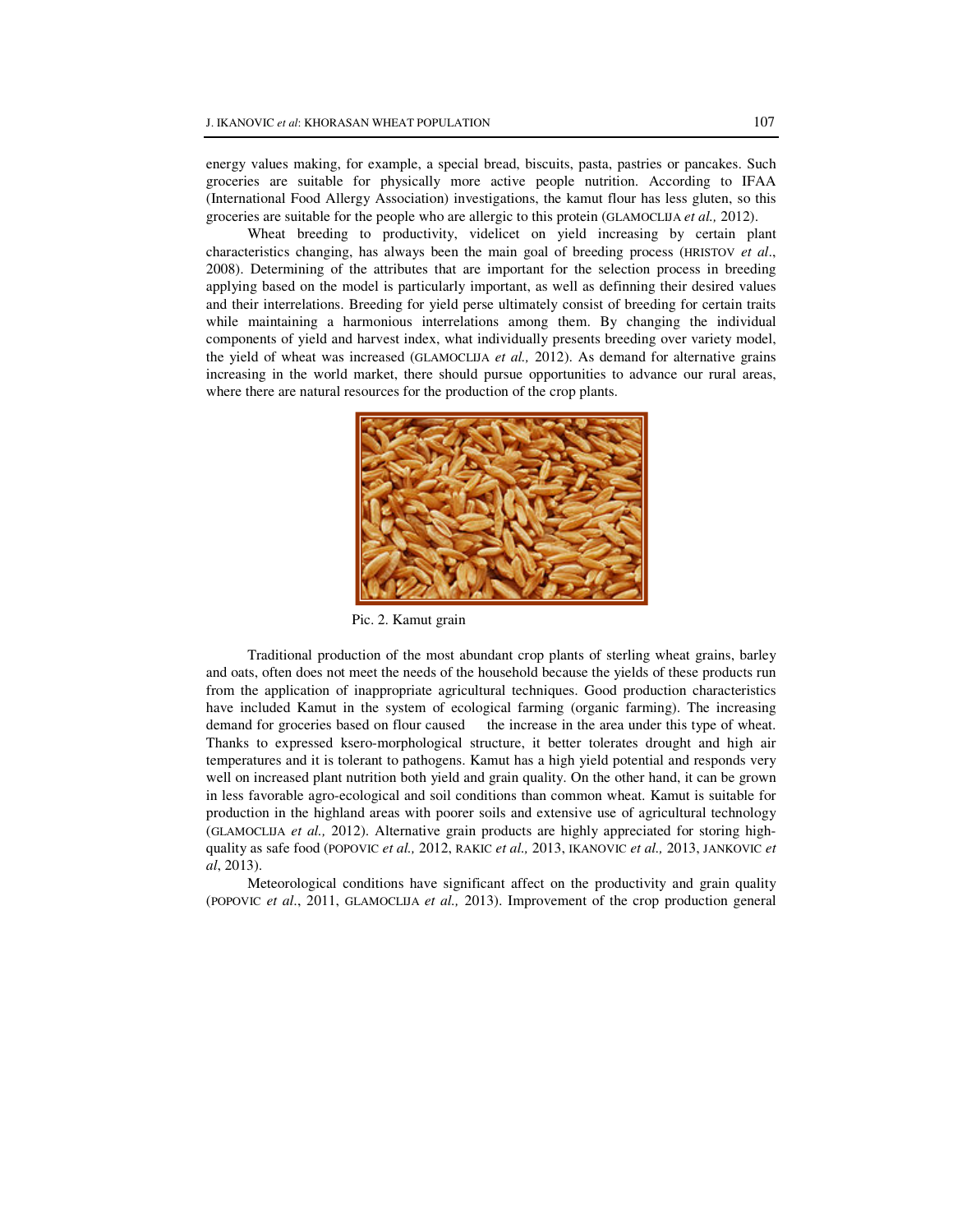energy values making, for example, a special bread, biscuits, pasta, pastries or pancakes. Such groceries are suitable for physically more active people nutrition. According to IFAA (International Food Allergy Association) investigations, the kamut flour has less gluten, so this groceries are suitable for the people who are allergic to this protein (GLAMOCLIJA *et al.,* 2012).

Wheat breeding to productivity, videlicet on yield increasing by certain plant characteristics changing, has always been the main goal of breeding process (HRISTOV *et al*., 2008). Determining of the attributes that are important for the selection process in breeding applying based on the model is particularly important, as well as definning their desired values and their interrelations. Breeding for yield perse ultimately consist of breeding for certain traits while maintaining a harmonious interrelations among them. By changing the individual components of yield and harvest index, what individually presents breeding over variety model, the yield of wheat was increased (GLAMOCLIJA *et al.,* 2012). As demand for alternative grains increasing in the world market, there should pursue opportunities to advance our rural areas, where there are natural resources for the production of the crop plants.



Pic. 2. Kamut grain

Traditional production of the most abundant crop plants of sterling wheat grains, barley and oats, often does not meet the needs of the household because the yields of these products run from the application of inappropriate agricultural techniques. Good production characteristics have included Kamut in the system of ecological farming (organic farming). The increasing demand for groceries based on flour caused the increase in the area under this type of wheat. Thanks to expressed ksero-morphological structure, it better tolerates drought and high air temperatures and it is tolerant to pathogens. Kamut has a high yield potential and responds very well on increased plant nutrition both yield and grain quality. On the other hand, it can be grown in less favorable agro-ecological and soil conditions than common wheat. Kamut is suitable for production in the highland areas with poorer soils and extensive use of agricultural technology (GLAMOCLIJA *et al.,* 2012). Alternative grain products are highly appreciated for storing highquality as safe food (POPOVIC *et al.,* 2012, RAKIC *et al.,* 2013, IKANOVIC *et al.,* 2013, JANKOVIC *et al*, 2013).

Meteorological conditions have significant affect on the productivity and grain quality (POPOVIC *et al*., 2011, GLAMOCLIJA *et al.,* 2013). Improvement of the crop production general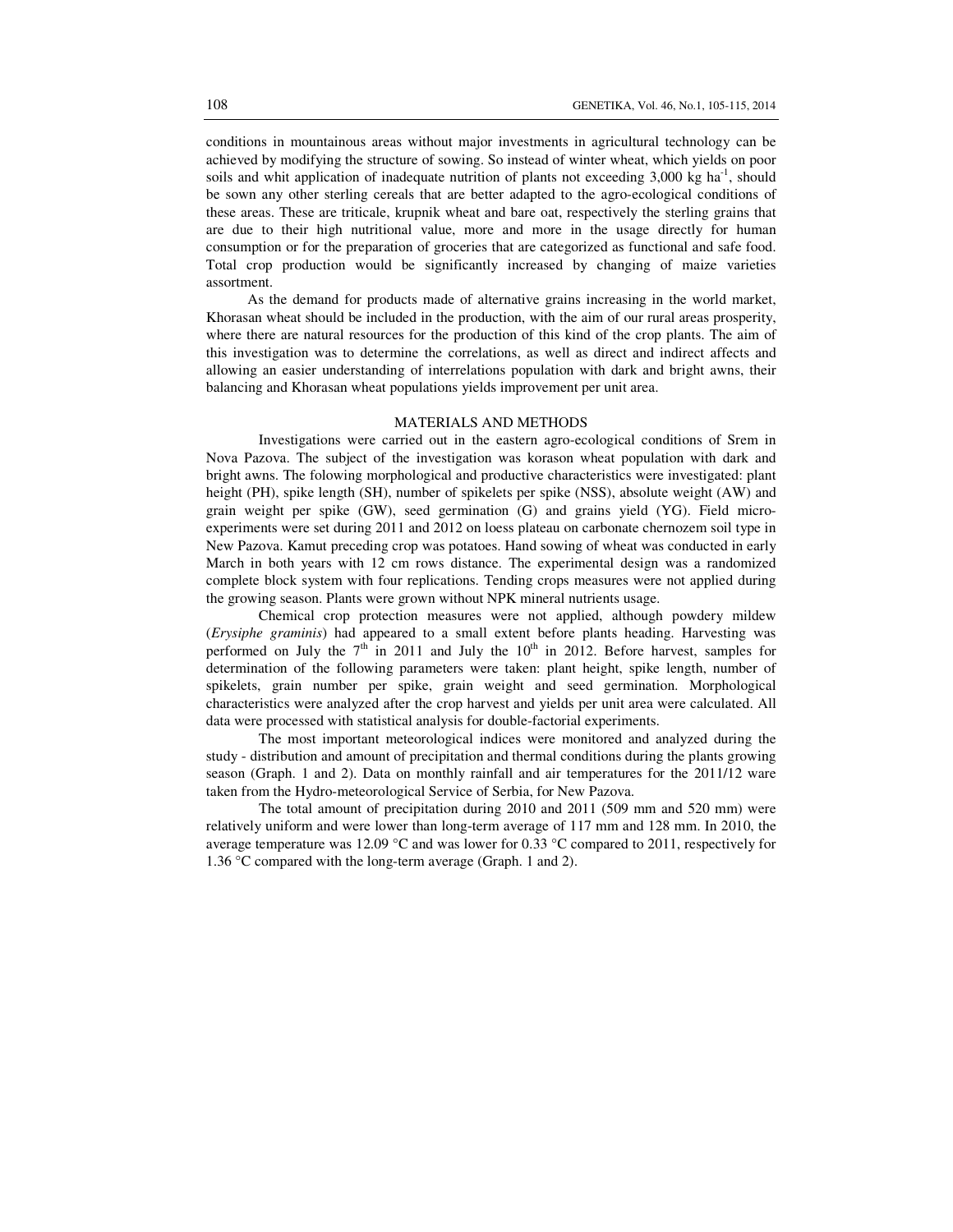conditions in mountainous areas without major investments in agricultural technology can be achieved by modifying the structure of sowing. So instead of winter wheat, which yields on poor soils and whit application of inadequate nutrition of plants not exceeding  $3,000 \text{ kg } \text{ha}^{-1}$ , should be sown any other sterling cereals that are better adapted to the agro-ecological conditions of these areas. These are triticale, krupnik wheat and bare oat, respectively the sterling grains that are due to their high nutritional value, more and more in the usage directly for human consumption or for the preparation of groceries that are categorized as functional and safe food. Total crop production would be significantly increased by changing of maize varieties assortment.

As the demand for products made of alternative grains increasing in the world market, Khorasan wheat should be included in the production, with the aim of our rural areas prosperity, where there are natural resources for the production of this kind of the crop plants. The aim of this investigation was to determine the correlations, as well as direct and indirect affects and allowing an easier understanding of interrelations population with dark and bright awns, their balancing and Khorasan wheat populations yields improvement per unit area.

#### MATERIALS AND METHODS

Investigations were carried out in the eastern agro-ecological conditions of Srem in Nova Pazova. The subject of the investigation was korason wheat population with dark and bright awns. The folowing morphological and productive characteristics were investigated: plant height (PH), spike length (SH), number of spikelets per spike (NSS), absolute weight (AW) and grain weight per spike (GW), seed germination (G) and grains yield (YG). Field microexperiments were set during 2011 and 2012 on loess plateau on carbonate chernozem soil type in New Pazova. Kamut preceding crop was potatoes. Hand sowing of wheat was conducted in early March in both years with 12 cm rows distance. The experimental design was a randomized complete block system with four replications. Tending crops measures were not applied during the growing season. Plants were grown without NPK mineral nutrients usage.

Chemical crop protection measures were not applied, although powdery mildew (*Erysiphe graminis*) had appeared to a small extent before plants heading. Harvesting was performed on July the  $7<sup>th</sup>$  in 2011 and July the 10<sup>th</sup> in 2012. Before harvest, samples for determination of the following parameters were taken: plant height, spike length, number of spikelets, grain number per spike, grain weight and seed germination. Morphological characteristics were analyzed after the crop harvest and yields per unit area were calculated. All data were processed with statistical analysis for double-factorial experiments.

The most important meteorological indices were monitored and analyzed during the study - distribution and amount of precipitation and thermal conditions during the plants growing season (Graph. 1 and 2). Data on monthly rainfall and air temperatures for the 2011/12 ware taken from the Hydro-meteorological Service of Serbia, for New Pazova.

The total amount of precipitation during 2010 and 2011 (509 mm and 520 mm) were relatively uniform and were lower than long-term average of 117 mm and 128 mm. In 2010, the average temperature was 12.09 °C and was lower for 0.33 °C compared to 2011, respectively for 1.36 °C compared with the long-term average (Graph. 1 and 2).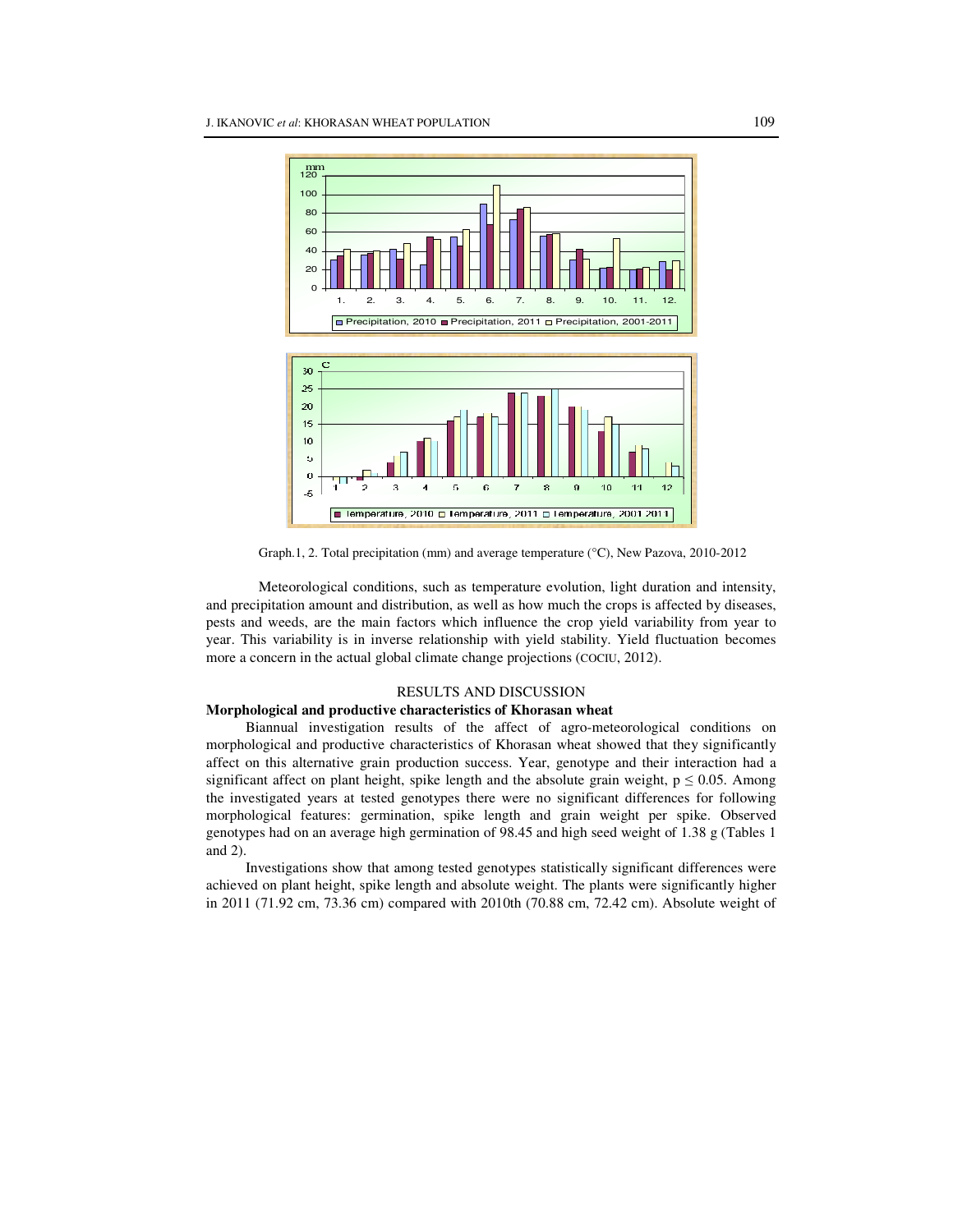

Graph.1, 2. Total precipitation (mm) and average temperature (°C), New Pazova, 2010-2012

Meteorological conditions, such as temperature evolution, light duration and intensity, and precipitation amount and distribution, as well as how much the crops is affected by diseases, pests and weeds, are the main factors which influence the crop yield variability from year to year. This variability is in inverse relationship with yield stability. Yield fluctuation becomes more a concern in the actual global climate change projections (COCIU, 2012).

## RESULTS AND DISCUSSION

### **Morphological and productive characteristics of Khorasan wheat**

Biannual investigation results of the affect of agro-meteorological conditions on morphological and productive characteristics of Khorasan wheat showed that they significantly affect on this alternative grain production success. Year, genotype and their interaction had a significant affect on plant height, spike length and the absolute grain weight,  $p \le 0.05$ . Among the investigated years at tested genotypes there were no significant differences for following morphological features: germination, spike length and grain weight per spike. Observed genotypes had on an average high germination of 98.45 and high seed weight of 1.38 g (Tables 1 and 2).

Investigations show that among tested genotypes statistically significant differences were achieved on plant height, spike length and absolute weight. The plants were significantly higher in 2011 (71.92 cm, 73.36 cm) compared with 2010th (70.88 cm, 72.42 cm). Absolute weight of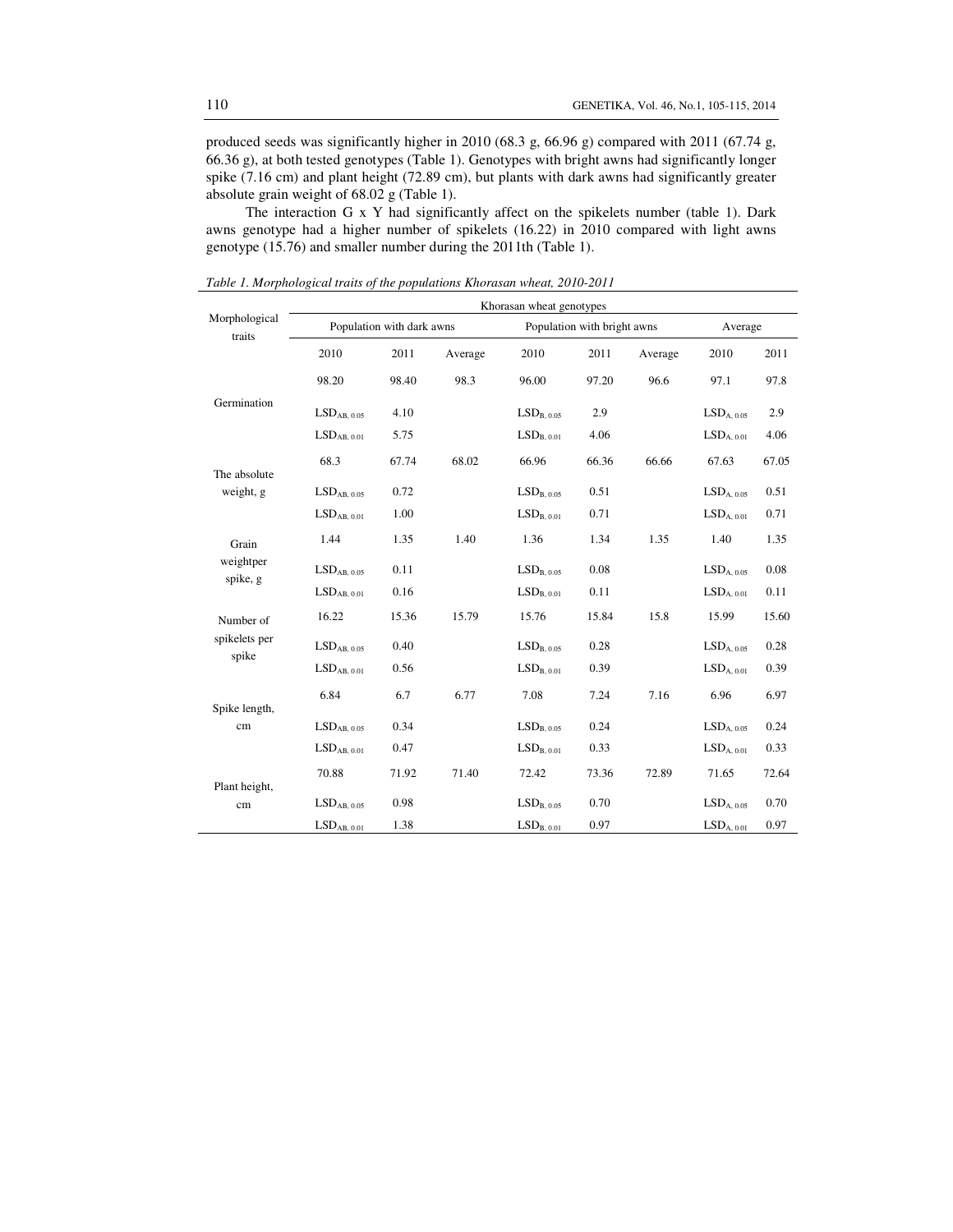produced seeds was significantly higher in 2010 (68.3 g, 66.96 g) compared with 2011 (67.74 g, 66.36 g), at both tested genotypes (Table 1). Genotypes with bright awns had significantly longer spike (7.16 cm) and plant height (72.89 cm), but plants with dark awns had significantly greater absolute grain weight of 68.02 g (Table 1).

The interaction G x Y had significantly affect on the spikelets number (table 1). Dark awns genotype had a higher number of spikelets (16.22) in 2010 compared with light awns genotype (15.76) and smaller number during the 2011th (Table 1).

|                           | Khorasan wheat genotypes            |       |         |                                    |                             |         |                                    |       |  |
|---------------------------|-------------------------------------|-------|---------|------------------------------------|-----------------------------|---------|------------------------------------|-------|--|
| Morphological<br>traits   | Population with dark awns           |       |         |                                    | Population with bright awns | Average |                                    |       |  |
|                           | 2010                                | 2011  | Average | 2010                               | 2011                        | Average | 2010                               | 2011  |  |
|                           | 98.20                               | 98.40 | 98.3    | 96.00                              | 97.20                       | 96.6    | 97.1                               | 97.8  |  |
| Germination               | LSD <sub>AB, 0.05</sub>             | 4.10  |         | LSD <sub>B. 0.05</sub>             | 2.9                         |         | $LSDA, 0.05$                       | 2.9   |  |
|                           | LSD <sub>AB, 0.01</sub>             | 5.75  |         | $\mathrm{LSD}_{\mathrm{B},\,0.01}$ | 4.06                        |         | LSD <sub>A. 0.01</sub>             | 4.06  |  |
|                           | 68.3                                | 67.74 | 68.02   | 66.96                              | 66.36                       | 66.66   | 67.63                              | 67.05 |  |
| The absolute<br>weight, g | LSD <sub>AB. 0.05</sub>             | 0.72  |         | LSD <sub>B. 0.05</sub>             | 0.51                        |         | LSD <sub>A. 0.05</sub>             | 0.51  |  |
|                           | LSD <sub>AB.0.01</sub>              | 1.00  |         | LSD <sub>B.0.01</sub>              | 0.71                        |         | LSD <sub>A, 0.01</sub>             | 0.71  |  |
| Grain                     | 1.44                                | 1.35  | 1.40    | 1.36                               | 1.34                        | 1.35    | 1.40                               | 1.35  |  |
| weightper                 | LSD <sub>AB, 0.05</sub>             | 0.11  |         | LSD <sub>B, 0.05</sub>             | 0.08                        |         | LSD <sub>A, 0.05</sub>             | 0.08  |  |
| spike, g                  | LSD <sub>AB. 0.01</sub>             | 0.16  |         | LSD <sub>B. 0.01</sub>             | 0.11                        |         | LSD <sub>A. 0.01</sub>             | 0.11  |  |
| Number of                 | 16.22                               | 15.36 | 15.79   | 15.76                              | 15.84                       | 15.8    | 15.99                              | 15.60 |  |
| spikelets per<br>spike    | LSD <sub>AB. 0.05</sub>             | 0.40  |         | LSD <sub>B. 0.05</sub>             | 0.28                        |         | LSD <sub>A. 0.05</sub>             | 0.28  |  |
|                           | $\mathrm{LSD}_{\mathrm{AB},\ 0.01}$ | 0.56  |         | $\mathrm{LSD}_{\mathrm{B},\,0.01}$ | 0.39                        |         | $\mathrm{LSD}_{\mathrm{A},\,0.01}$ | 0.39  |  |
| Spike length,             | 6.84                                | 6.7   | 6.77    | 7.08                               | 7.24                        | 7.16    | 6.96                               | 6.97  |  |
| cm                        | LSD <sub>AB, 0.05</sub>             | 0.34  |         | $\mathrm{LSD}_{\mathrm{B},\,0.05}$ | 0.24                        |         | $LSDA, 0.05$                       | 0.24  |  |
|                           | LSD <sub>AB, 0.01</sub>             | 0.47  |         | LSD <sub>B. 0.01</sub>             | 0.33                        |         | LSD <sub>A, 0.01</sub>             | 0.33  |  |
| Plant height,             | 70.88                               | 71.92 | 71.40   | 72.42                              | 73.36                       | 72.89   | 71.65                              | 72.64 |  |
| cm                        | LSD <sub>AB, 0.05</sub>             | 0.98  |         | LSD <sub>B. 0.05</sub>             | 0.70                        |         | LSD <sub>A. 0.05</sub>             | 0.70  |  |
|                           | $\mathrm{LSD}_{\mathrm{AB},\ 0.01}$ | 1.38  |         | $\mathrm{LSD}_{\mathrm{B},\,0.01}$ | 0.97                        |         | LSD <sub>A, 0.01</sub>             | 0.97  |  |

*Table 1. Morphological traits of the populations Khorasan wheat, 2010-2011*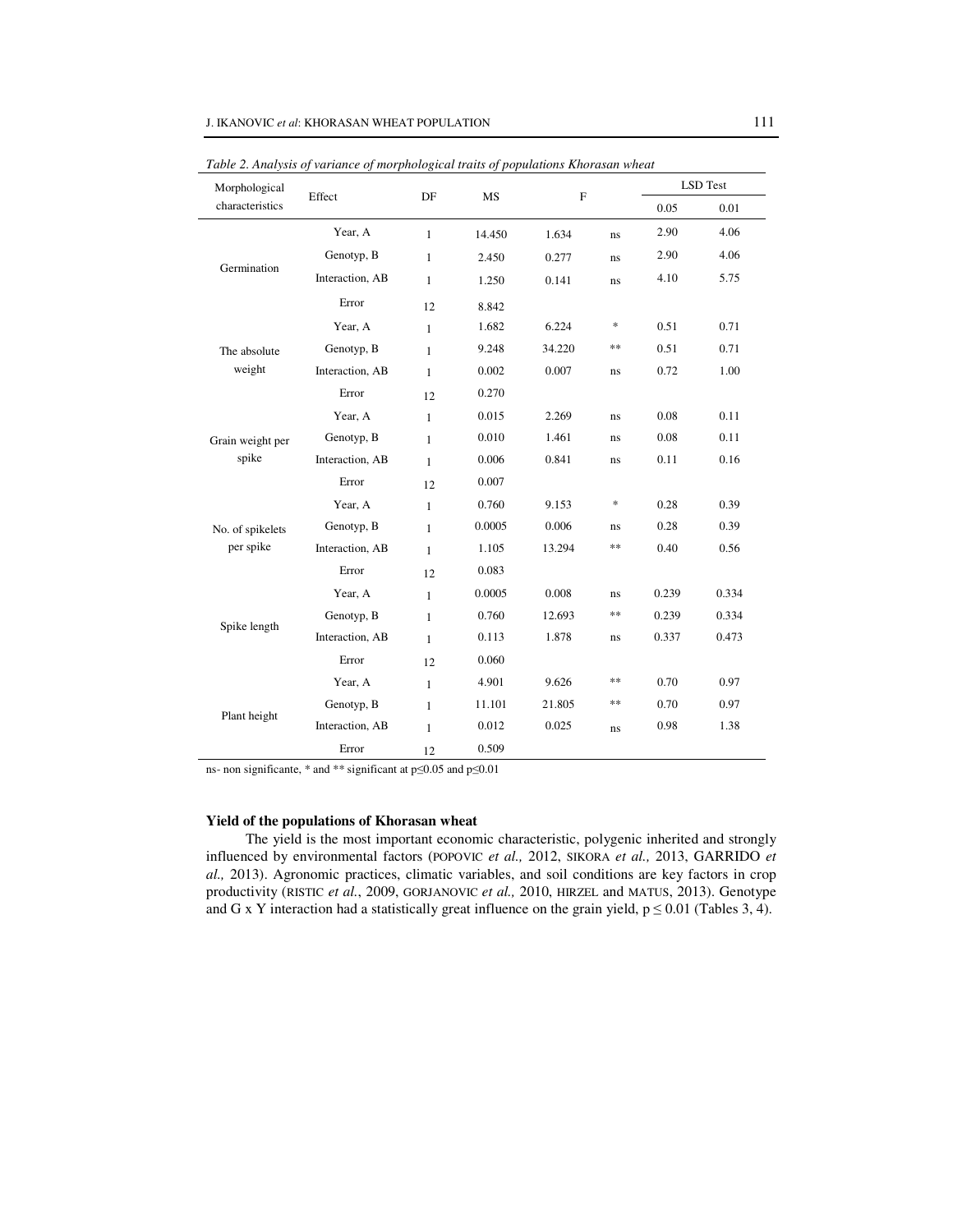| Morphological    | Effect          | DF           | <b>MS</b> | $\mathbf{F}$ |    | <b>LSD</b> Test |          |
|------------------|-----------------|--------------|-----------|--------------|----|-----------------|----------|
| characteristics  |                 |              |           |              |    | 0.05            | $0.01\,$ |
|                  | Year, A         | $\mathbf{1}$ | 14.450    | 1.634        | ns | 2.90            | 4.06     |
|                  | Genotyp, B      | $\mathbf{1}$ | 2.450     | 0.277        | ns | 2.90            | 4.06     |
| Germination      | Interaction, AB | 1            | 1.250     | 0.141        | ns | 4.10            | 5.75     |
|                  | Error           | 12           | 8.842     |              |    |                 |          |
|                  | Year, A         | $\mathbf{1}$ | 1.682     | 6.224        | *  | 0.51            | 0.71     |
| The absolute     | Genotyp, B      | $\mathbf{1}$ | 9.248     | 34.220       | ** | 0.51            | 0.71     |
| weight           | Interaction, AB | $\mathbf{1}$ | 0.002     | 0.007        | ns | 0.72            | 1.00     |
|                  | Error           | 12           | 0.270     |              |    |                 |          |
|                  | Year, A         | $\mathbf{1}$ | 0.015     | 2.269        | ns | 0.08            | 0.11     |
| Grain weight per | Genotyp, B      | $\mathbf{1}$ | 0.010     | 1.461        | ns | 0.08            | 0.11     |
| spike            | Interaction, AB | $\mathbf{1}$ | 0.006     | 0.841        | ns | 0.11            | 0.16     |
|                  | Error           | 12           | 0.007     |              |    |                 |          |
|                  | Year, A         | $\mathbf{1}$ | 0.760     | 9.153        | *  | 0.28            | 0.39     |
| No. of spikelets | Genotyp, B      | $\mathbf{1}$ | 0.0005    | 0.006        | ns | 0.28            | 0.39     |
| per spike        | Interaction, AB | $\mathbf{1}$ | 1.105     | 13.294       | ** | 0.40            | 0.56     |
|                  | Error           | 12           | 0.083     |              |    |                 |          |
|                  | Year, A         | $\mathbf{1}$ | 0.0005    | 0.008        | ns | 0.239           | 0.334    |
|                  | Genotyp, B      | $\mathbf{1}$ | 0.760     | 12.693       | ** | 0.239           | 0.334    |
| Spike length     | Interaction, AB | $\mathbf{1}$ | 0.113     | 1.878        | ns | 0.337           | 0.473    |
|                  | Error           | 12           | 0.060     |              |    |                 |          |
|                  | Year, A         | $\mathbf{1}$ | 4.901     | 9.626        | ** | 0.70            | 0.97     |
|                  | Genotyp, B      | $\mathbf{1}$ | 11.101    | 21.805       | ** | 0.70            | 0.97     |
| Plant height     | Interaction, AB | $\mathbf{1}$ | 0.012     | 0.025        | ns | 0.98            | 1.38     |
|                  | Error           | 12           | 0.509     |              |    |                 |          |

*Table 2. Analysis of variance of morphological traits of populations Khorasan wheat* 

ns- non significante, \* and \*\* significant at p≤0.05 and p≤0.01

#### **Yield of the populations of Khorasan wheat**

The yield is the most important economic characteristic, polygenic inherited and strongly influenced by environmental factors (POPOVIC *et al.,* 2012, SIKORA *et al.,* 2013, GARRIDO *et al.,* 2013). Agronomic practices, climatic variables, and soil conditions are key factors in crop productivity (RISTIC *et al.*, 2009, GORJANOVIC *et al.,* 2010, HIRZEL and MATUS, 2013). Genotype and G x Y interaction had a statistically great influence on the grain yield,  $p \le 0.01$  (Tables 3, 4).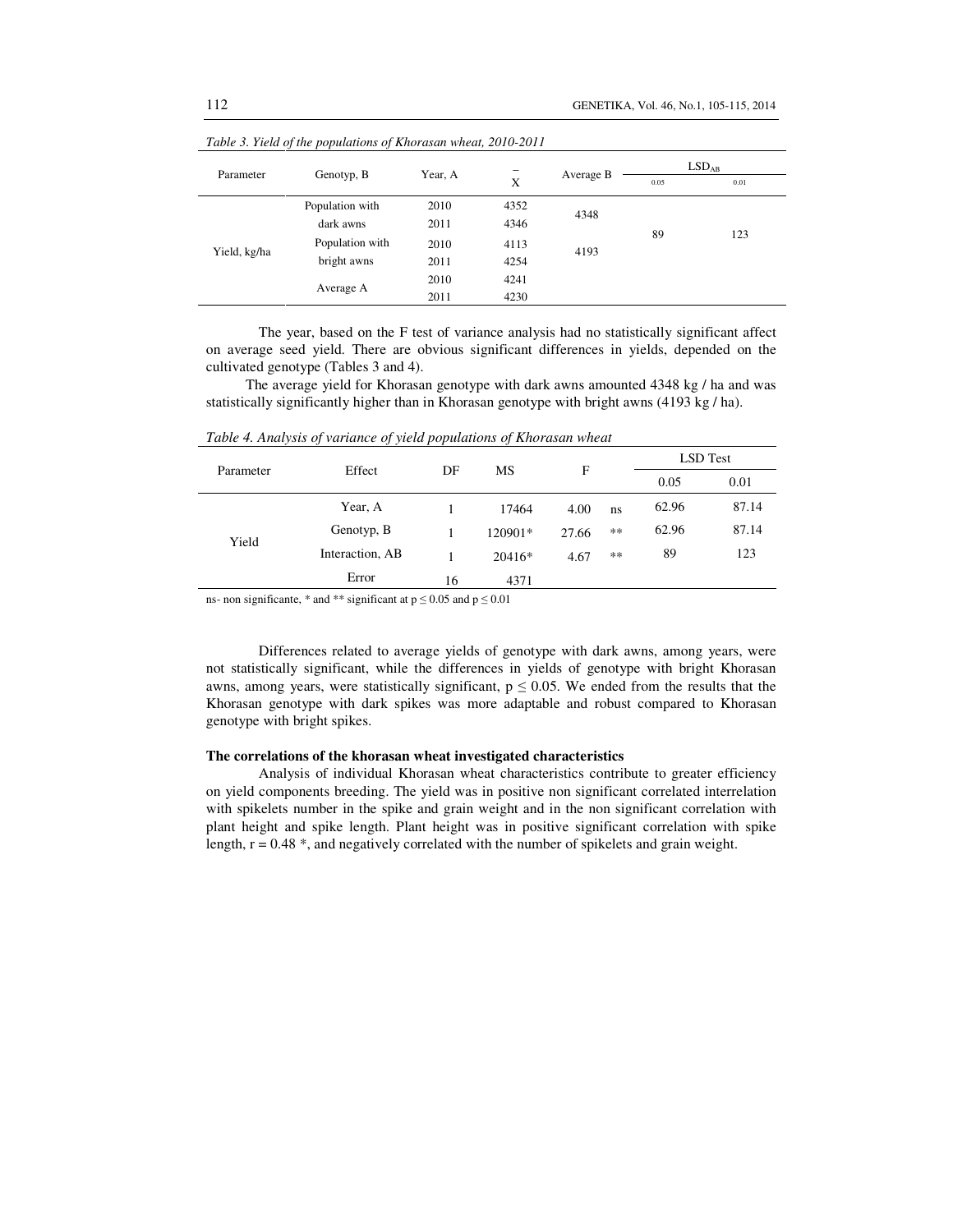| $\sim$<br>Parameter | Genotyp, B      | Year, A | -    |              | LSD <sub>AB</sub> |      |
|---------------------|-----------------|---------|------|--------------|-------------------|------|
|                     |                 |         | X    | Average B    | 0.05              | 0.01 |
| Yield, kg/ha        | Population with | 2010    | 4352 | 4348<br>4193 |                   |      |
|                     | dark awns       | 2011    | 4346 |              | 89                | 123  |
|                     | Population with | 2010    | 4113 |              |                   |      |
|                     | bright awns     | 2011    | 4254 |              |                   |      |
|                     | Average A       | 2010    | 4241 |              |                   |      |
|                     |                 | 2011    | 4230 |              |                   |      |

*Table 3. Yield of the populations of Khorasan wheat, 2010-2011* 

The year, based on the F test of variance analysis had no statistically significant affect on average seed yield. There are obvious significant differences in yields, depended on the cultivated genotype (Tables 3 and 4).

The average yield for Khorasan genotype with dark awns amounted 4348 kg / ha and was statistically significantly higher than in Khorasan genotype with bright awns (4193 kg / ha).

|                 | DF     |           |       |       | <b>LSD</b> Test |       |
|-----------------|--------|-----------|-------|-------|-----------------|-------|
|                 |        |           |       |       | 0.05            | 0.01  |
| Year, A         |        | 17464     | 4.00  | ns    | 62.96           | 87.14 |
| Genotyp, B      |        | $120901*$ | 27.66 | $**$  | 62.96           | 87.14 |
| Interaction, AB |        | $20416*$  | 4.67  | $***$ | 89              | 123   |
| Error           | 16     | 4371      |       |       |                 |       |
|                 | Effect |           | MS    | F     |                 |       |

*Table 4. Analysis of variance of yield populations of Khorasan wheat* 

ns- non significante, \* and \*\* significant at  $p \le 0.05$  and  $p \le 0.01$ 

Differences related to average yields of genotype with dark awns, among years, were not statistically significant, while the differences in yields of genotype with bright Khorasan awns, among years, were statistically significant,  $p \le 0.05$ . We ended from the results that the Khorasan genotype with dark spikes was more adaptable and robust compared to Khorasan genotype with bright spikes.

## **The correlations of the khorasan wheat investigated characteristics**

Analysis of individual Khorasan wheat characteristics contribute to greater efficiency on yield components breeding. The yield was in positive non significant correlated interrelation with spikelets number in the spike and grain weight and in the non significant correlation with plant height and spike length. Plant height was in positive significant correlation with spike length, r = 0.48 \*, and negatively correlated with the number of spikelets and grain weight.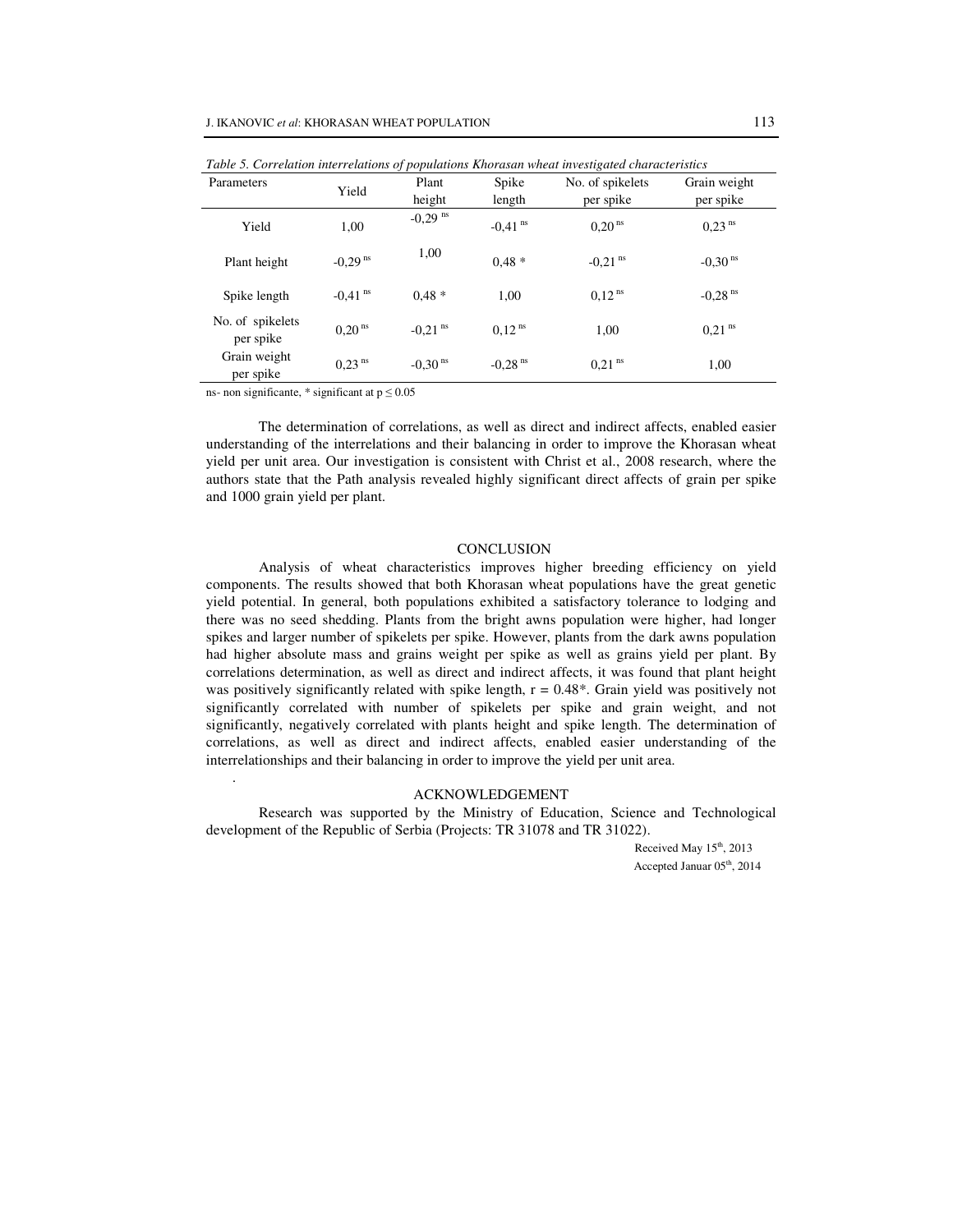| Table 5. Correlation interrelations of populations Khorasan wheat investigated characteristics |                       |                       |                       |                       |                       |  |  |  |
|------------------------------------------------------------------------------------------------|-----------------------|-----------------------|-----------------------|-----------------------|-----------------------|--|--|--|
| Parameters                                                                                     | Yield                 | Plant                 | Spike                 | No. of spikelets      | Grain weight          |  |  |  |
|                                                                                                |                       | height                | length                | per spike             | per spike             |  |  |  |
| Yield                                                                                          | 1,00                  | $-0,29$ <sup>ns</sup> | $-0.41$ <sup>ns</sup> | $0,20$ <sup>ns</sup>  | 0.23 <sup>ns</sup>    |  |  |  |
| Plant height                                                                                   | $-0,29$ <sup>ns</sup> | 1,00                  | $0.48*$               | $-0,21$ <sup>ns</sup> | $-0.30$ <sup>ns</sup> |  |  |  |
| Spike length                                                                                   | $-0.41$ <sup>ns</sup> | $0.48*$               | 1.00                  | $0.12$ <sup>ns</sup>  | $-0.28$ <sup>ns</sup> |  |  |  |
| No. of spikelets<br>per spike                                                                  | $0,20$ <sup>ns</sup>  | $-0.21$ <sup>ns</sup> | $0.12$ <sup>ns</sup>  | 1.00                  | $0.21$ <sup>ns</sup>  |  |  |  |
| Grain weight<br>per spike                                                                      | $0,23$ <sup>ns</sup>  | $-0,30$ <sup>ns</sup> | $-0,28$ <sup>ns</sup> | $0,21$ <sup>ns</sup>  | 1,00                  |  |  |  |

ns- non significante, \* significant at  $p \le 0.05$ 

.

The determination of correlations, as well as direct and indirect affects, enabled easier understanding of the interrelations and their balancing in order to improve the Khorasan wheat yield per unit area. Our investigation is consistent with Christ et al., 2008 research, where the authors state that the Path analysis revealed highly significant direct affects of grain per spike and 1000 grain yield per plant.

#### **CONCLUSION**

Analysis of wheat characteristics improves higher breeding efficiency on yield components. The results showed that both Khorasan wheat populations have the great genetic yield potential. In general, both populations exhibited a satisfactory tolerance to lodging and there was no seed shedding. Plants from the bright awns population were higher, had longer spikes and larger number of spikelets per spike. However, plants from the dark awns population had higher absolute mass and grains weight per spike as well as grains yield per plant. By correlations determination, as well as direct and indirect affects, it was found that plant height was positively significantly related with spike length,  $r = 0.48^*$ . Grain yield was positively not significantly correlated with number of spikelets per spike and grain weight, and not significantly, negatively correlated with plants height and spike length. The determination of correlations, as well as direct and indirect affects, enabled easier understanding of the interrelationships and their balancing in order to improve the yield per unit area.

## ACKNOWLEDGEMENT

Research was supported by the Ministry of Education, Science and Technological development of the Republic of Serbia (Projects: TR 31078 and TR 31022).

> Received May  $15<sup>th</sup>$ , 2013 Accepted Januar 05<sup>th</sup>, 2014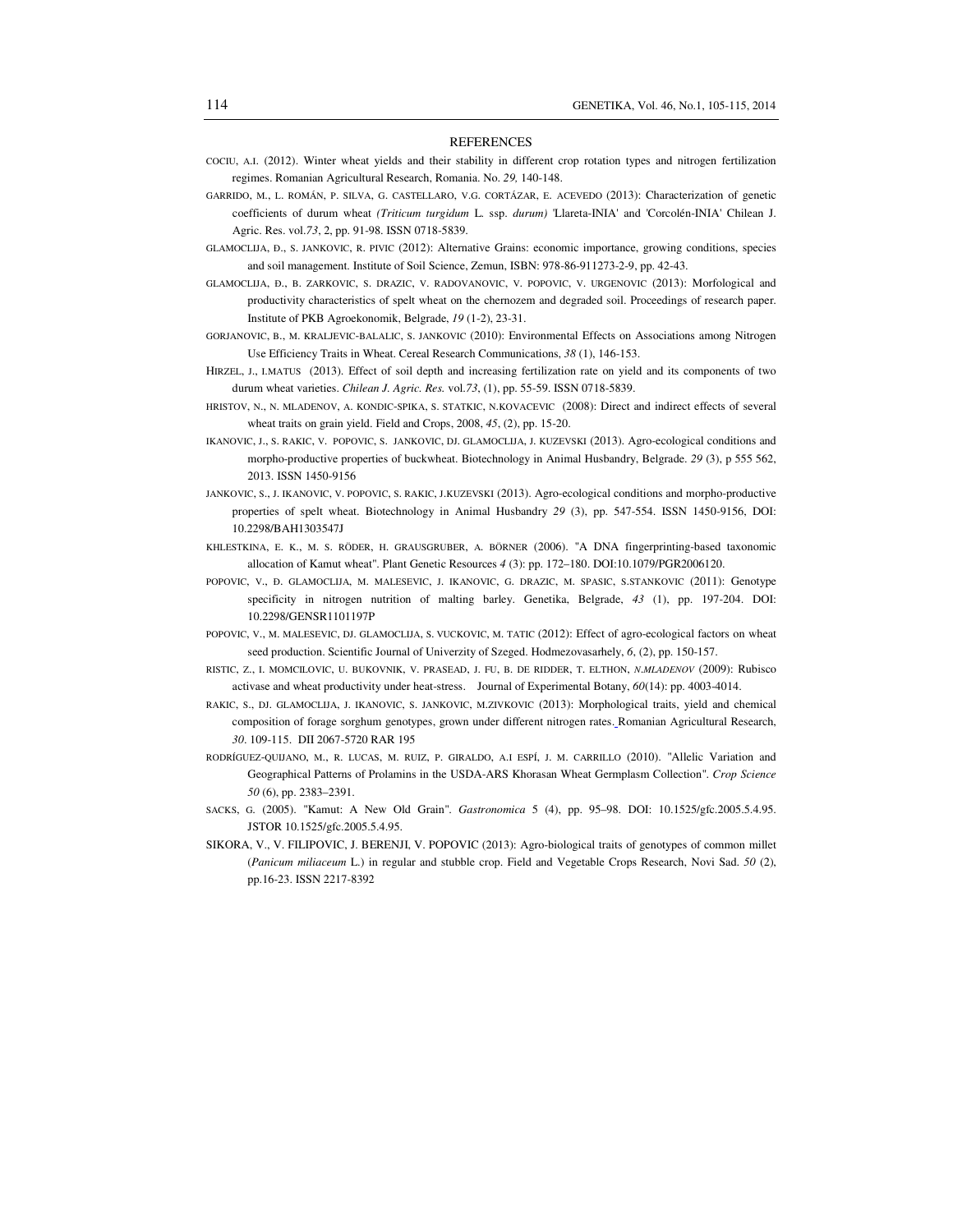#### REFERENCES

- COCIU, A.I. (2012). Winter wheat yields and their stability in different crop rotation types and nitrogen fertilization regimes. Romanian Agricultural Research, Romania. No. *29,* 140-148.
- GARRIDO, M., L. ROMÁN, P. SILVA, G. CASTELLARO, V.G. CORTÁZAR, E. ACEVEDO (2013): Characterization of genetic coefficients of durum wheat *(Triticum turgidum* L. ssp. *durum)* 'Llareta-INIA' and 'Corcolén-INIA' Chilean J. Agric. Res. vol.*73*, 2, pp. 91-98. ISSN 0718-5839.
- GLAMOCLIJA, Đ., S. JANKOVIC, R. PIVIC (2012): Alternative Grains: economic importance, growing conditions, species and soil management. Institute of Soil Science, Zemun, ISBN: 978-86-911273-2-9, pp. 42-43.
- GLAMOCLIJA, Đ., B. ZARKOVIC, S. DRAZIC, V. RADOVANOVIC, V. POPOVIC, V. URGENOVIC (2013): Morfological and productivity characteristics of spelt wheat on the chernozem and degraded soil. Proceedings of research paper. Institute of PKB Agroekonomik, Belgrade, *19* (1-2), 23-31.
- GORJANOVIC, B., M. KRALJEVIC-BALALIC, S. JANKOVIC (2010): Environmental Effects on Associations among Nitrogen Use Efficiency Traits in Wheat. Cereal Research Communications, *38* (1), 146-153.
- HIRZEL, J., I.MATUS (2013). Effect of soil depth and increasing fertilization rate on yield and its components of two durum wheat varieties. *Chilean J. Agric. Res.* vol.*73*, (1), pp. 55-59. ISSN 0718-5839.
- HRISTOV, N., N. MLADENOV, A. KONDIC-SPIKA, S. STATKIC, N.KOVACEVIC (2008): Direct and indirect effects of several wheat traits on grain yield. Field and Crops, 2008, *45*, (2), pp. 15-20.
- IKANOVIC, J., S. RAKIC, V. POPOVIC, S. JANKOVIC, DJ. GLAMOCLIJA, J. KUZEVSKI (2013). Agro-ecological conditions and morpho-productive properties of buckwheat. Biotechnology in Animal Husbandry, Belgrade. *29* (3), p 555 562, 2013. ISSN 1450-9156
- JANKOVIC, S., J. IKANOVIC, V. POPOVIC, S. RAKIC, J.KUZEVSKI (2013). Agro-ecological conditions and morpho-productive properties of spelt wheat. Biotechnology in Animal Husbandry *29* (3), pp. 547-554. ISSN 1450-9156, DOI: 10.2298/BAH1303547J
- KHLESTKINA, E. K., M. S. RÖDER, H. GRAUSGRUBER, A. BÖRNER (2006). "A DNA fingerprinting-based taxonomic allocation of Kamut wheat". Plant Genetic Resources *4* (3): pp. 172–180. DOI:10.1079/PGR2006120.
- POPOVIC, V., Đ. GLAMOCLIJA, M. MALESEVIC, J. IKANOVIC, G. DRAZIC, M. SPASIC, S.STANKOVIC (2011): Genotype specificity in nitrogen nutrition of malting barley. Genetika, Belgrade, *43* (1), pp. 197-204. DOI: 10.2298/GENSR1101197P
- POPOVIC, V., M. MALESEVIC, DJ. GLAMOCLIJA, S. VUCKOVIC, M. TATIC (2012): Effect of agro-ecological factors on wheat seed production. Scientific Journal of Univerzity of Szeged. Hodmezovasarhely, *6*, (2), pp. 150-157.
- RISTIC, Z., I. MOMCILOVIC, U. BUKOVNIK, V. PRASEAD, J. FU, B. DE RIDDER, T. ELTHON, *N*.*MLADENOV* (2009): Rubisco activase and wheat productivity under heat-stress. Journal of Experimental Botany, *60*(14): pp. 4003-4014.
- RAKIC, S., DJ. GLAMOCLIJA, J. IKANOVIC, S. JANKOVIC, M.ZIVKOVIC (2013): Morphological traits, yield and chemical composition of forage sorghum genotypes, grown under different nitrogen rates. Romanian Agricultural Research, *30*. 109-115. DII 2067-5720 RAR 195
- RODRÍGUEZ-QUIJANO, M., R. LUCAS, M. RUIZ, P. GIRALDO, A.I ESPÍ, J. M. CARRILLO (2010). "Allelic Variation and Geographical Patterns of Prolamins in the USDA-ARS Khorasan Wheat Germplasm Collection". *Crop Science 50* (6), pp. 2383–2391.
- SACKS, G. (2005). "Kamut: A New Old Grain". *Gastronomica* 5 (4), pp. 95–98. DOI: 10.1525/gfc.2005.5.4.95. JSTOR 10.1525/gfc.2005.5.4.95.
- SIKORA, V., V. FILIPOVIC, J. BERENJI, V. POPOVIC (2013): Agro-biological traits of genotypes of common millet (*Panicum miliaceum* L.) in regular and stubble crop. Field and Vegetable Crops Research, Novi Sad. *50* (2), pp.16-23. ISSN 2217-8392